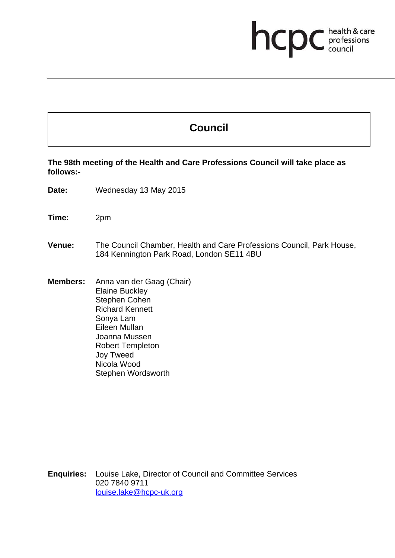## **health & care**

## **Council**

**The 98th meeting of the Health and Care Professions Council will take place as follows:-** 

**Date:** Wednesday 13 May 2015

**Time:** 2pm

- **Venue:** The Council Chamber, Health and Care Professions Council, Park House, 184 Kennington Park Road, London SE11 4BU
- **Members:** Anna van der Gaag (Chair) Elaine Buckley Stephen Cohen Richard Kennett Sonya Lam Eileen Mullan Joanna Mussen Robert Templeton Joy Tweed Nicola Wood Stephen Wordsworth

**Enquiries:** Louise Lake, Director of Council and Committee Services 020 7840 9711 louise.lake@hcpc-uk.org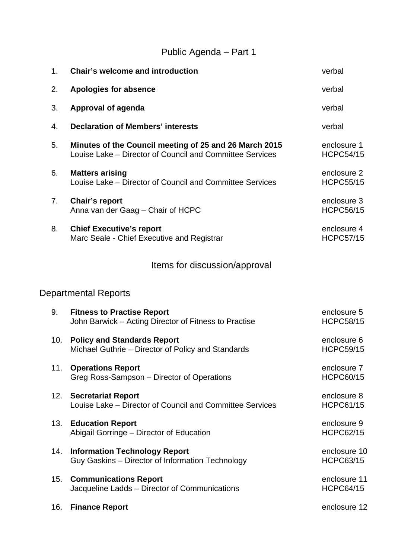## Public Agenda – Part 1

| 1.  | <b>Chair's welcome and introduction</b>                                                                            | verbal                           |
|-----|--------------------------------------------------------------------------------------------------------------------|----------------------------------|
| 2.  | <b>Apologies for absence</b>                                                                                       | verbal                           |
| 3.  | <b>Approval of agenda</b>                                                                                          | verbal                           |
| 4.  | <b>Declaration of Members' interests</b>                                                                           | verbal                           |
| 5.  | Minutes of the Council meeting of 25 and 26 March 2015<br>Louise Lake - Director of Council and Committee Services | enclosure 1<br><b>HCPC54/15</b>  |
| 6.  | <b>Matters arising</b><br>Louise Lake - Director of Council and Committee Services                                 | enclosure 2<br><b>HCPC55/15</b>  |
| 7.  | <b>Chair's report</b><br>Anna van der Gaag - Chair of HCPC                                                         | enclosure 3<br><b>HCPC56/15</b>  |
| 8.  | <b>Chief Executive's report</b><br>Marc Seale - Chief Executive and Registrar                                      | enclosure 4<br><b>HCPC57/15</b>  |
|     | Items for discussion/approval                                                                                      |                                  |
|     | <b>Departmental Reports</b>                                                                                        |                                  |
| 9.  | <b>Fitness to Practise Report</b><br>John Barwick – Acting Director of Fitness to Practise                         | enclosure 5<br><b>HCPC58/15</b>  |
| 10. | <b>Policy and Standards Report</b><br>Michael Guthrie – Director of Policy and Standards                           | enclosure 6<br><b>HCPC59/15</b>  |
| 11. | <b>Operations Report</b><br>Greg Ross-Sampson - Director of Operations                                             | enclosure 7<br><b>HCPC60/15</b>  |
| 12. | <b>Secretariat Report</b><br>Louise Lake - Director of Council and Committee Services                              | enclosure 8<br><b>HCPC61/15</b>  |
| 13. | <b>Education Report</b><br>Abigail Gorringe - Director of Education                                                | enclosure 9<br><b>HCPC62/15</b>  |
| 14. | <b>Information Technology Report</b><br>Guy Gaskins - Director of Information Technology                           | enclosure 10<br><b>HCPC63/15</b> |
| 15. | <b>Communications Report</b><br>Jacqueline Ladds - Director of Communications                                      | enclosure 11<br><b>HCPC64/15</b> |
| 16. | <b>Finance Report</b>                                                                                              | enclosure 12                     |